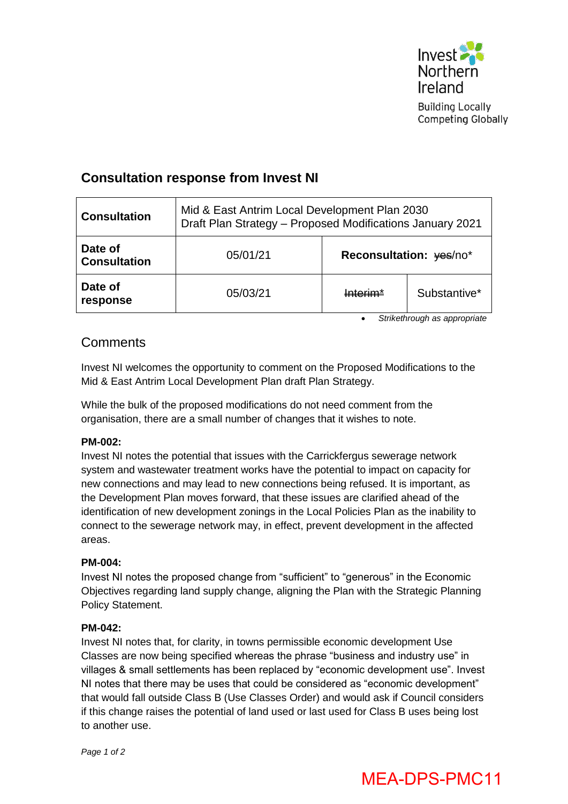

Competing Globally

## **Consultation response from Invest NI**

| <b>Consultation</b>            | Mid & East Antrim Local Development Plan 2030<br>Draft Plan Strategy - Proposed Modifications January 2021 |                         |              |
|--------------------------------|------------------------------------------------------------------------------------------------------------|-------------------------|--------------|
| Date of<br><b>Consultation</b> | 05/01/21                                                                                                   | Reconsultation: yes/no* |              |
| Date of<br>response            | 05/03/21                                                                                                   | <u>Intorim*</u>         | Substantive* |

*Strikethrough as appropriate*

## **Comments**

Invest NI welcomes the opportunity to comment on the Proposed Modifications to the Mid & East Antrim Local Development Plan draft Plan Strategy.

While the bulk of the proposed modifications do not need comment from the organisation, there are a small number of changes that it wishes to note.

#### **PM-002:**

Invest NI notes the potential that issues with the Carrickfergus sewerage network system and wastewater treatment works have the potential to impact on capacity for new connections and may lead to new connections being refused. It is important, as the Development Plan moves forward, that these issues are clarified ahead of the identification of new development zonings in the Local Policies Plan as the inability to connect to the sewerage network may, in effect, prevent development in the affected areas.

#### **PM-004:**

Invest NI notes the proposed change from "sufficient" to "generous" in the Economic Objectives regarding land supply change, aligning the Plan with the Strategic Planning Policy Statement.

#### **PM-042:**

Invest NI notes that, for clarity, in towns permissible economic development Use Classes are now being specified whereas the phrase "business and industry use" in villages & small settlements has been replaced by "economic development use". Invest NI notes that there may be uses that could be considered as "economic development" that would fall outside Class B (Use Classes Order) and would ask if Council considers if this change raises the potential of land used or last used for Class B uses being lost to another use.

*Page 1 of 2*

# MEA-DPS-PMC11